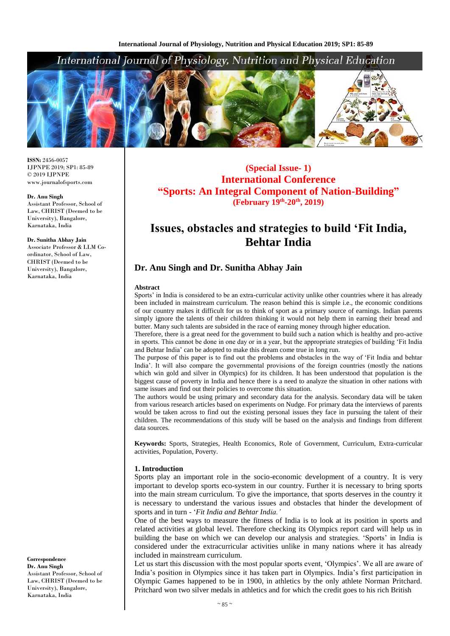

**ISSN:** 2456-0057 IJPNPE 2019; SP1: 85-89 © 2019 IJPNPE www.journalofsports.com

#### **Dr. Anu Singh**

Assistant Professor, School of Law, CHRIST (Deemed to be University), Bangalore, Karnataka, India

#### **Dr. Sunitha Abhay Jain**

Associate Professor & LLM Coordinator, School of Law, CHRIST (Deemed to be University), Bangalore, Karnataka, India

**Correspondence Dr. Anu Singh** Assistant Professor, School of Law, CHRIST (Deemed to be University), Bangalore, Karnataka, India

**(Special Issue- 1) International Conference "Sports: An Integral Component of Nation-Building" (February 19th -20th, 2019)**

# **Issues, obstacles and strategies to build 'Fit India, Behtar India**

## **Dr. Anu Singh and Dr. Sunitha Abhay Jain**

#### **Abstract**

Sports' in India is considered to be an extra-curricular activity unlike other countries where it has already been included in mainstream curriculum. The reason behind this is simple i.e., the economic conditions of our country makes it difficult for us to think of sport as a primary source of earnings. Indian parents simply ignore the talents of their children thinking it would not help them in earning their bread and butter. Many such talents are subsided in the race of earning money through higher education.

Therefore, there is a great need for the government to build such a nation which is healthy and pro-active in sports. This cannot be done in one day or in a year, but the appropriate strategies of building 'Fit India and Behtar India' can be adopted to make this dream come true in long run.

The purpose of this paper is to find out the problems and obstacles in the way of 'Fit India and behtar India'. It will also compare the governmental provisions of the foreign countries (mostly the nations which win gold and silver in Olympics) for its children. It has been understood that population is the biggest cause of poverty in India and hence there is a need to analyze the situation in other nations with same issues and find out their policies to overcome this situation.

The authors would be using primary and secondary data for the analysis. Secondary data will be taken from various research articles based on experiments on Nudge. For primary data the interviews of parents would be taken across to find out the existing personal issues they face in pursuing the talent of their children. The recommendations of this study will be based on the analysis and findings from different data sources.

**Keywords:** Sports, Strategies, Health Economics, Role of Government, Curriculum, Extra-curricular activities, Population, Poverty.

#### **1. Introduction**

Sports play an important role in the socio-economic development of a country. It is very important to develop sports eco-system in our country. Further it is necessary to bring sports into the main stream curriculum. To give the importance, that sports deserves in the country it is necessary to understand the various issues and obstacles that hinder the development of sports and in turn - '*Fit India and Behtar India.'*

One of the best ways to measure the fitness of India is to look at its position in sports and related activities at global level. Therefore checking its Olympics report card will help us in building the base on which we can develop our analysis and strategies. 'Sports' in India is considered under the extracurricular activities unlike in many nations where it has already included in mainstream curriculum.

Let us start this discussion with the most popular sports event, 'Olympics'. We all are aware of India's position in Olympics since it has taken part in Olympics. India's first participation in Olympic Games happened to be in 1900, in athletics by the only athlete Norman Pritchard. Pritchard won two silver medals in athletics and for which the credit goes to his rich British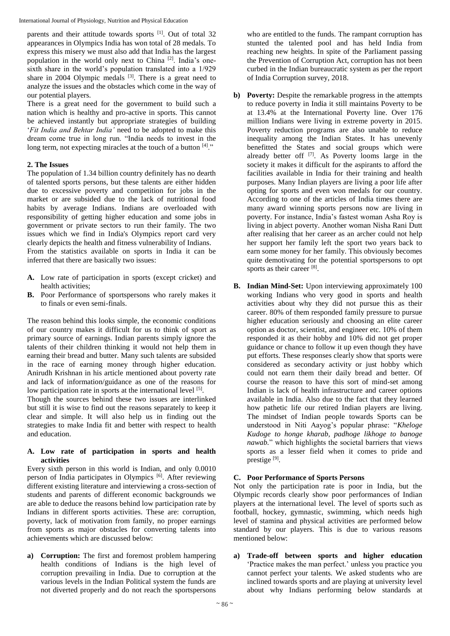parents and their attitude towards sports [1]. Out of total 32 appearances in Olympics India has won total of 28 medals. To express this misery we must also add that India has the largest population in the world only next to China [2]. India's onesixth share in the world's population translated into a 1/929 share in 2004 Olympic medals  $[3]$ . There is a great need to analyze the issues and the obstacles which come in the way of our potential players.

There is a great need for the government to build such a nation which is healthy and pro-active in sports. This cannot be achieved instantly but appropriate strategies of building '*Fit India and Behtar India'* need to be adopted to make this dream come true in long run. "India needs to invest in the long term, not expecting miracles at the touch of a button  $[4]$ ."

## **2. The Issues**

The population of 1.34 billion country definitely has no dearth of talented sports persons, but these talents are either hidden due to excessive poverty and competition for jobs in the market or are subsided due to the lack of nutritional food habits by average Indians. Indians are overloaded with responsibility of getting higher education and some jobs in government or private sectors to run their family. The two issues which we find in India's Olympics report card very clearly depicts the health and fitness vulnerability of Indians. From the statistics available on sports in India it can be inferred that there are basically two issues:

- **A.** Low rate of participation in sports (except cricket) and health activities;
- **B.** Poor Performance of sportspersons who rarely makes it to finals or even semi-finals.

The reason behind this looks simple, the economic conditions of our country makes it difficult for us to think of sport as primary source of earnings. Indian parents simply ignore the talents of their children thinking it would not help them in earning their bread and butter. Many such talents are subsided in the race of earning money through higher education. Anirudh Krishnan in his article mentioned about poverty rate and lack of information/guidance as one of the reasons for low participation rate in sports at the international level [5].

Though the sources behind these two issues are interlinked but still it is wise to find out the reasons separately to keep it clear and simple. It will also help us in finding out the strategies to make India fit and better with respect to health and education.

#### **A. Low rate of participation in sports and health activities**

Every sixth person in this world is Indian, and only 0.0010 person of India participates in Olympics<sup>[6]</sup>. After reviewing different existing literature and interviewing a cross-section of students and parents of different economic backgrounds we are able to deduce the reasons behind low participation rate by Indians in different sports activities. These are: corruption, poverty, lack of motivation from family, no proper earnings from sports as major obstacles for converting talents into achievements which are discussed below:

**a) Corruption:** The first and foremost problem hampering health conditions of Indians is the high level of corruption prevailing in India. Due to corruption at the various levels in the Indian Political system the funds are not diverted properly and do not reach the sportspersons

who are entitled to the funds. The rampant corruption has stunted the talented pool and has held India from reaching new heights. In spite of the Parliament passing the Prevention of Corruption Act, corruption has not been curbed in the Indian bureaucratic system as per the report of India Corruption survey, 2018.

- **b) Poverty:** Despite the remarkable progress in the attempts to reduce poverty in India it still maintains Poverty to be at 13.4% at the International Poverty line. Over 176 million Indians were living in extreme poverty in 2015. Poverty reduction programs are also unable to reduce inequality among the Indian States. It has unevenly benefitted the States and social groups which were already better off [7]. As Poverty looms large in the society it makes it difficult for the aspirants to afford the facilities available in India for their training and health purposes. Many Indian players are living a poor life after opting for sports and even won medals for our country. According to one of the articles of India times there are many award winning sports persons now are living in poverty. For instance, India's fastest woman Asha Roy is living in abject poverty. Another woman Nisha Rani Dutt after realising that her career as an archer could not help her support her family left the sport two years back to earn some money for her family. This obviously becomes quite demotivating for the potential sportspersons to opt sports as their career [8].
- **B. Indian Mind-Set:** Upon interviewing approximately 100 working Indians who very good in sports and health activities about why they did not pursue this as their career. 80% of them responded family pressure to pursue higher education seriously and choosing an elite career option as doctor, scientist, and engineer etc. 10% of them responded it as their hobby and 10% did not get proper guidance or chance to follow it up even though they have put efforts. These responses clearly show that sports were considered as secondary activity or just hobby which could not earn them their daily bread and better. Of course the reason to have this sort of mind-set among Indian is lack of health infrastructure and career options available in India. Also due to the fact that they learned how pathetic life our retired Indian players are living. The mindset of Indian people towards Sports can be understood in Niti Aayog's popular phrase: "*Kheloge Kudoge to honge kharab, padhoge likhoge to banoge nawab.*" which highlights the societal barriers that views sports as a lesser field when it comes to pride and prestige [9].

## **C. Poor Performance of Sports Persons**

Not only the participation rate is poor in India, but the Olympic records clearly show poor performances of Indian players at the international level. The level of sports such as football, hockey, gymnastic, swimming, which needs high level of stamina and physical activities are performed below standard by our players. This is due to various reasons mentioned below:

**a) Trade-off between sports and higher education** 'Practice makes the man perfect.' unless you practice you cannot perfect your talents. We asked students who are inclined towards sports and are playing at university level about why Indians performing below standards at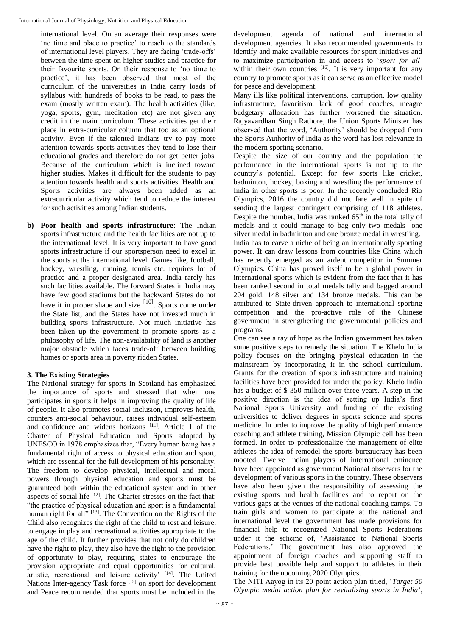international level. On an average their responses were 'no time and place to practice' to reach to the standards of international level players. They are facing 'trade-offs' between the time spent on higher studies and practice for their favourite sports. On their response to 'no time to practice', it has been observed that most of the curriculum of the universities in India carry loads of syllabus with hundreds of books to be read, to pass the exam (mostly written exam). The health activities (like, yoga, sports, gym, meditation etc) are not given any credit in the main curriculum. These activities get their place in extra-curricular column that too as an optional activity. Even if the talented Indians try to pay more attention towards sports activities they tend to lose their educational grades and therefore do not get better jobs. Because of the curriculum which is inclined toward higher studies. Makes it difficult for the students to pay attention towards health and sports activities. Health and Sports activities are always been added as an extracurricular activity which tend to reduce the interest for such activities among Indian students.

**b) Poor health and sports infrastructure**: The Indian sports infrastructure and the health facilities are not up to the international level. It is very important to have good sports infrastructure if our sportsperson need to excel in the sports at the international level. Games like, football, hockey, wrestling, running, tennis etc. requires lot of practice and a proper designated area. India rarely has such facilities available. The forward States in India may have few good stadiums but the backward States do not have it in proper shape and size <sup>[10]</sup>. Sports come under the State list, and the States have not invested much in building sports infrastructure. Not much initiative has been taken up the government to promote sports as a philosophy of life. The non-availability of land is another major obstacle which faces trade-off between building homes or sports area in poverty ridden States.

## **3. The Existing Strategies**

The National strategy for sports in Scotland has emphasized the importance of sports and stressed that when one participates in sports it helps in improving the quality of life of people. It also promotes social inclusion, improves health, counters anti-social behaviour, raises individual self-esteem and confidence and widens horizons [11]. Article 1 of the Charter of Physical Education and Sports adopted by UNESCO in 1978 emphasizes that, "Every human being has a fundamental right of access to physical education and sport, which are essential for the full development of his personality. The freedom to develop physical, intellectual and moral powers through physical education and sports must be guaranteed both within the educational system and in other aspects of social life <sup>[12]</sup>. The Charter stresses on the fact that: "the practice of physical education and sport is a fundamental human right for all"<sup>[13]</sup>. The Convention on the Rights of the Child also recognizes the right of the child to rest and leisure, to engage in play and recreational activities appropriate to the age of the child. It further provides that not only do children have the right to play, they also have the right to the provision of opportunity to play, requiring states to encourage the provision appropriate and equal opportunities for cultural, artistic, recreational and leisure activity' [14]. The United Nations Inter-agency Task force [15] on sport for development and Peace recommended that sports must be included in the

development agenda of national and international development agencies. It also recommended governments to identify and make available resources for sport initiatives and to maximize participation in and access to '*sport for all'* within their own countries  $[16]$ . It is very important for any country to promote sports as it can serve as an effective model for peace and development.

Many ills like political interventions, corruption, low quality infrastructure, favoritism, lack of good coaches, meagre budgetary allocation has further worsened the situation. Rajyavardhan Singh Rathore, the Union Sports Minister has observed that the word, 'Authority' should be dropped from the Sports Authority of India as the word has lost relevance in the modern sporting scenario.

Despite the size of our country and the population the performance in the international sports is not up to the country's potential. Except for few sports like cricket, badminton, hockey, boxing and wrestling the performance of India in other sports is poor. In the recently concluded Rio Olympics, 2016 the country did not fare well in spite of sending the largest contingent comprising of 118 athletes. Despite the number, India was ranked 65<sup>th</sup> in the total tally of medals and it could manage to bag only two medals- one silver medal in badminton and one bronze medal in wrestling. India has to carve a niche of being an internationally sporting power. It can draw lessons from countries like China which has recently emerged as an ardent competitor in Summer Olympics. China has proved itself to be a global power in international sports which is evident from the fact that it has been ranked second in total medals tally and bagged around 204 gold, 148 silver and 134 bronze medals. This can be attributed to State-driven approach to international sporting competition and the pro-active role of the Chinese government in strengthening the governmental policies and programs.

One can see a ray of hope as the Indian government has taken some positive steps to remedy the situation. The Khelo India policy focuses on the bringing physical education in the mainstream by incorporating it in the school curriculum. Grants for the creation of sports infrastructure and training facilities have been provided for under the policy. Khelo India has a budget of \$ 350 million over three years. A step in the positive direction is the idea of setting up India's first National Sports University and funding of the existing universities to deliver degrees in sports science and sports medicine. In order to improve the quality of high performance coaching and athlete training, Mission Olympic cell has been formed. In order to professionalize the management of elite athletes the idea of remodel the sports bureaucracy has been mooted. Twelve Indian players of international eminence have been appointed as government National observers for the development of various sports in the country. These observers have also been given the responsibility of assessing the existing sports and health facilities and to report on the various gaps at the venues of the national coaching camps. To train girls and women to participate at the national and international level the government has made provisions for financial help to recognized National Sports Federations under it the scheme of, 'Assistance to National Sports Federations.' The government has also approved the appointment of foreign coaches and supporting staff to provide best possible help and support to athletes in their training for the upcoming 2020 Olympics.

The NITI Aayog in its 20 point action plan titled, '*Target 50 Olympic medal action plan for revitalizing sports in India*',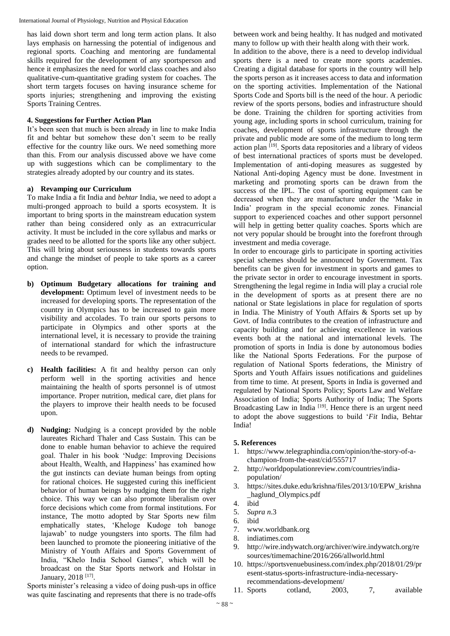has laid down short term and long term action plans. It also lays emphasis on harnessing the potential of indigenous and regional sports. Coaching and mentoring are fundamental skills required for the development of any sportsperson and hence it emphasizes the need for world class coaches and also qualitative-cum-quantitative grading system for coaches. The short term targets focuses on having insurance scheme for sports injuries; strengthening and improving the existing Sports Training Centres.

#### **4. Suggestions for Further Action Plan**

It's been seen that much is been already in line to make India fit and behtar but somehow these don't seem to be really effective for the country like ours. We need something more than this. From our analysis discussed above we have come up with suggestions which can be complimentary to the strategies already adopted by our country and its states.

#### **a) Revamping our Curriculum**

To make India a fit India and *behtar* India, we need to adopt a multi-pronged approach to build a sports ecosystem. It is important to bring sports in the mainstream education system rather than being considered only as an extracurricular activity. It must be included in the core syllabus and marks or grades need to be allotted for the sports like any other subject. This will bring about seriousness in students towards sports and change the mindset of people to take sports as a career option.

- **b) Optimum Budgetary allocations for training and**  development: Optimum level of investment needs to be increased for developing sports. The representation of the country in Olympics has to be increased to gain more visibility and accolades. To train our sports persons to participate in Olympics and other sports at the international level, it is necessary to provide the training of international standard for which the infrastructure needs to be revamped.
- **c) Health facilities:** A fit and healthy person can only perform well in the sporting activities and hence maintaining the health of sports personnel is of utmost importance. Proper nutrition, medical care, diet plans for the players to improve their health needs to be focused upon.
- **d) Nudging:** Nudging is a concept provided by the noble laureates Richard Thaler and Cass Sustain. This can be done to enable human behavior to achieve the required goal. Thaler in his book 'Nudge: Improving Decisions about Health, Wealth, and Happiness' has examined how the gut instincts can deviate human beings from opting for rational choices. He suggested curing this inefficient behavior of human beings by nudging them for the right choice. This way we can also promote liberalism over force decisions which come from formal institutions. For instance, The motto adopted by Star Sports new film emphatically states, 'Kheloge Kudoge toh banoge lajawab' to nudge youngsters into sports. The film had been launched to promote the pioneering initiative of the Ministry of Youth Affairs and Sports Government of India, "Khelo India School Games", which will be broadcast on the Star Sports network and Holstar in January, 2018<sup>[17]</sup>.

Sports minister's releasing a video of doing push-ups in office was quite fascinating and represents that there is no trade-offs between work and being healthy. It has nudged and motivated many to follow up with their health along with their work.

In addition to the above, there is a need to develop individual sports there is a need to create more sports academies. Creating a digital database for sports in the country will help the sports person as it increases access to data and information on the sporting activities. Implementation of the National Sports Code and Sports bill is the need of the hour. A periodic review of the sports persons, bodies and infrastructure should be done. Training the children for sporting activities from young age, including sports in school curriculum, training for coaches, development of sports infrastructure through the private and public mode are some of the medium to long term action plan <sup>[19]</sup>. Sports data repositories and a library of videos of best international practices of sports must be developed. Implementation of anti-doping measures as suggested by National Anti-doping Agency must be done. Investment in marketing and promoting sports can be drawn from the success of the IPL. The cost of sporting equipment can be decreased when they are manufacture under the 'Make in India' program in the special economic zones. Financial support to experienced coaches and other support personnel will help in getting better quality coaches. Sports which are not very popular should be brought into the forefront through investment and media coverage.

In order to encourage girls to participate in sporting activities special schemes should be announced by Government. Tax benefits can be given for investment in sports and games to the private sector in order to encourage investment in sports. Strengthening the legal regime in India will play a crucial role in the development of sports as at present there are no national or State legislations in place for regulation of sports in India. The Ministry of Youth Affairs & Sports set up by Govt. of India contributes to the creation of infrastructure and capacity building and for achieving excellence in various events both at the national and international levels. The promotion of sports in India is done by autonomous bodies like the National Sports Federations. For the purpose of regulation of National Sports federations, the Ministry of Sports and Youth Affairs issues notifications and guidelines from time to time. At present, Sports in India is governed and regulated by National Sports Policy; Sports Law and Welfare Association of India; Sports Authority of India; The Sports Broadcasting Law in India<sup>[19]</sup>. Hence there is an urgent need to adopt the above suggestions to build '*Fit* India, Behtar India!

#### **5. References**

- 1. https://www.telegraphindia.com/opinion/the-story-of-achampion-from-the-east/cid/555717
- 2. http://worldpopulationreview.com/countries/indiapopulation/
- 3. https://sites.duke.edu/krishna/files/2013/10/EPW\_krishna \_haglund\_Olympics.pdf
- 4. ibid
- 5. *Supra n*.3
- 6. ibid
- 7. www.worldbank.org
- 8. indiatimes.com
- 9. http://wire.indywatch.org/archiver/wire.indywatch.org/re sources/timemachine/2016/266/allworld.html
- 10. https://sportsvenuebusiness.com/index.php/2018/01/29/pr esent-status-sports-infrastructure-india-necessaryrecommendations-development/
- 11. Sports cotland, 2003, 7, available